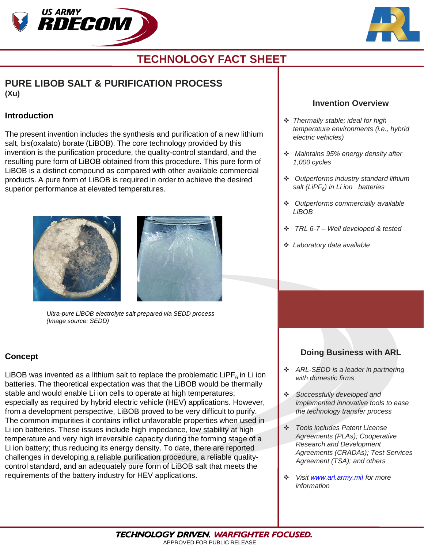



# **TECHNOLOGY FACT SHEET**

# **PURE LIBOB SALT & PURIFICATION PROCESS (Xu)**

#### **Introduction**

The present invention includes the synthesis and purification of a new lithium salt, bis(oxalato) borate (LiBOB). The core technology provided by this invention is the purification procedure, the quality-control standard, and the resulting pure form of LiBOB obtained from this procedure. This pure form of LiBOB is a distinct compound as compared with other available commercial products. A pure form of LiBOB is required in order to achieve the desired superior performance at elevated temperatures.





*Ultra-pure LiBOB electrolyte salt prepared via SEDD process (Image source: SEDD)* 

### **Concept**

LiBOB was invented as a lithium salt to replace the problematic LiPF $<sub>6</sub>$  in Li ion</sub> batteries. The theoretical expectation was that the LiBOB would be thermally stable and would enable Li ion cells to operate at high temperatures; especially as required by hybrid electric vehicle (HEV) applications. However, from a development perspective, LiBOB proved to be very difficult to purify. The common impurities it contains inflict unfavorable properties when used in Li ion batteries. These issues include high impedance, low stability at high temperature and very high irreversible capacity during the forming stage of a Li ion battery; thus reducing its energy density. To date, there are reported challenges in developing a reliable purification procedure, a reliable qualitycontrol standard, and an adequately pure form of LiBOB salt that meets the requirements of the battery industry for HEV applications.

#### **Invention Overview**

- *Thermally stable; ideal for high temperature environments (i.e., hybrid electric vehicles)*
- *Maintains 95% energy density after 1,000 cycles*
- *Outperforms industry standard lithium salt (LiPF6) in Li ion batteries*
- *Outperforms commercially available LiBOB*
- *TRL 6-7 – Well developed & tested*
- *Laboratory data available*

## **Doing Business with ARL**

- *ARL-SEDD is a leader in partnering with domestic firms*
- *Successfully developed and implemented innovative tools to ease the technology transfer process*
- *Tools includes Patent License Agreements (PLAs); Cooperative Research and Development Agreements (CRADAs); Test Services Agreement (TSA); and others*
- *Visit [www.arl.army.mil](http://www.arl.army.mil/) for more information*